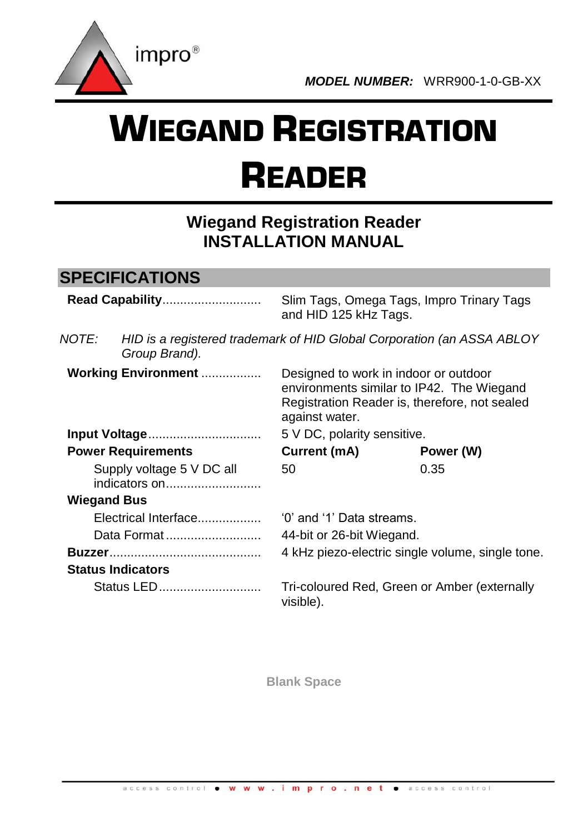

# WIEGAND REGISTRATION READER

# **Wiegand Registration Reader INSTALLATION MANUAL**

### **SPECIFICATIONS**

| Read Capability                            |                          | Slim Tags, Omega Tags, Impro Trinary Tags<br>and HID 125 kHz Tags.                                                                                    |           |  |  |
|--------------------------------------------|--------------------------|-------------------------------------------------------------------------------------------------------------------------------------------------------|-----------|--|--|
| NOTE:                                      | Group Brand).            | HID is a registered trademark of HID Global Corporation (an ASSA ABLOY                                                                                |           |  |  |
| Working Environment                        |                          | Designed to work in indoor or outdoor<br>environments similar to IP42. The Wiegand<br>Registration Reader is, therefore, not sealed<br>against water. |           |  |  |
| Input Voltage                              |                          | 5 V DC, polarity sensitive.                                                                                                                           |           |  |  |
| <b>Power Requirements</b>                  |                          | Current (mA)                                                                                                                                          | Power (W) |  |  |
| Supply voltage 5 V DC all<br>indicators on |                          | 50                                                                                                                                                    | 0.35      |  |  |
| <b>Wiegand Bus</b>                         |                          |                                                                                                                                                       |           |  |  |
| Electrical Interface                       |                          | '0' and '1' Data streams.                                                                                                                             |           |  |  |
| Data Format                                |                          | 44-bit or 26-bit Wiegand.                                                                                                                             |           |  |  |
|                                            |                          | 4 kHz piezo-electric single volume, single tone.                                                                                                      |           |  |  |
|                                            | <b>Status Indicators</b> |                                                                                                                                                       |           |  |  |
| Status LED                                 |                          | Tri-coloured Red, Green or Amber (externally<br>visible).                                                                                             |           |  |  |

**Blank Space**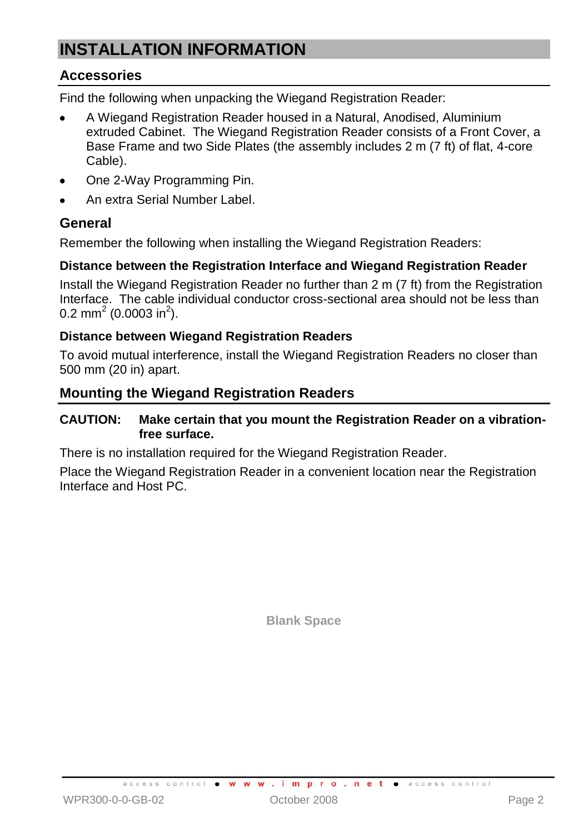# **INSTALLATION INFORMATION**

#### **Accessories**

Find the following when unpacking the Wiegand Registration Reader:

- A Wiegand Registration Reader housed in a Natural, Anodised, Aluminium extruded Cabinet. The Wiegand Registration Reader consists of a Front Cover, a Base Frame and two Side Plates (the assembly includes 2 m (7 ft) of flat, 4-core Cable).
- One 2-Way Programming Pin.
- An extra Serial Number Label.

#### **General**

Remember the following when installing the Wiegand Registration Readers:

#### **Distance between the Registration Interface and Wiegand Registration Reader**

Install the Wiegand Registration Reader no further than 2 m (7 ft) from the Registration Interface. The cable individual conductor cross-sectional area should not be less than 0.2 mm<sup>2</sup> (0.0003 in<sup>2</sup>).

#### **Distance between Wiegand Registration Readers**

To avoid mutual interference, install the Wiegand Registration Readers no closer than 500 mm (20 in) apart.

#### **Mounting the Wiegand Registration Readers**

#### **CAUTION: Make certain that you mount the Registration Reader on a vibrationfree surface.**

There is no installation required for the Wiegand Registration Reader.

Place the Wiegand Registration Reader in a convenient location near the Registration Interface and Host PC.

**Blank Space**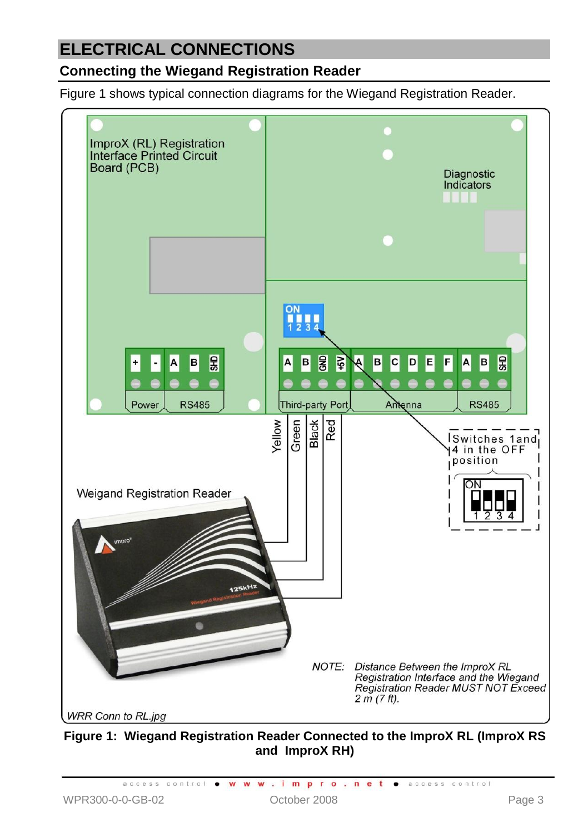## **ELECTRICAL CONNECTIONS**

#### **Connecting the Wiegand Registration Reader**

[Figure 1](#page-2-0) shows typical connection diagrams for the Wiegand Registration Reader.



<span id="page-2-0"></span>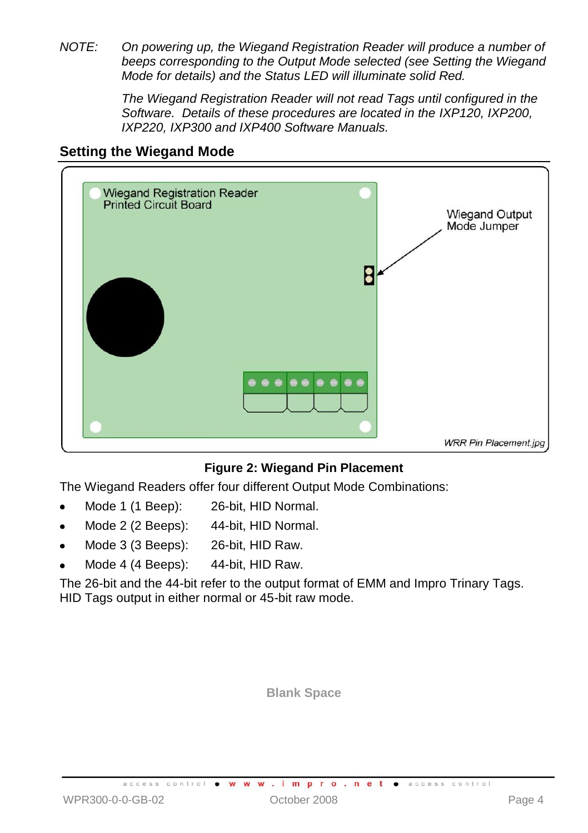*NOTE: On powering up, the Wiegand Registration Reader will produce a number of beeps corresponding to the Output Mode selected (see Setting the Wiegand Mode for details) and the Status LED will illuminate solid Red.* 

> *The Wiegand Registration Reader will not read Tags until configured in the Software. Details of these procedures are located in the IXP120, IXP200, IXP220, IXP300 and IXP400 Software Manuals.*

#### <span id="page-3-0"></span>**Setting the Wiegand Mode**



#### **Figure 2: Wiegand Pin Placement**

The Wiegand Readers offer four different Output Mode Combinations:

- Mode 1 (1 Beep): 26-bit, HID Normal.
- Mode 2 (2 Beeps): 44-bit, HID Normal.
- Mode 3 (3 Beeps): 26-bit, HID Raw.
- Mode 4 (4 Beeps): 44-bit, HID Raw.

The 26-bit and the 44-bit refer to the output format of EMM and Impro Trinary Tags. HID Tags output in either normal or 45-bit raw mode.

**Blank Space**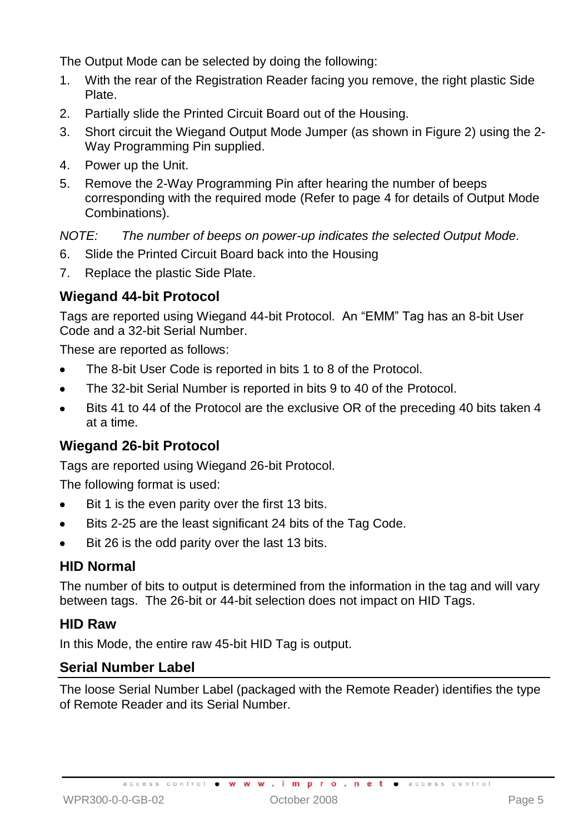The Output Mode can be selected by doing the following:

- 1. With the rear of the Registration Reader facing you remove, the right plastic Side Plate.
- 2. Partially slide the Printed Circuit Board out of the Housing.
- 3. Short circuit the Wiegand Output Mode Jumper (as shown in Figure 2) using the 2- Way Programming Pin supplied.
- 4. Power up the Unit.
- 5. Remove the 2-Way Programming Pin after hearing the number of beeps corresponding with the required mode (Refer to page [4](#page-3-0) for details of Output Mode Combinations).

*NOTE: The number of beeps on power-up indicates the selected Output Mode.*

- 6. Slide the Printed Circuit Board back into the Housing
- 7. Replace the plastic Side Plate.

#### **Wiegand 44-bit Protocol**

Tags are reported using Wiegand 44-bit Protocol. An "EMM" Tag has an 8-bit User Code and a 32-bit Serial Number.

These are reported as follows:

- The 8-bit User Code is reported in bits 1 to 8 of the Protocol.
- The 32-bit Serial Number is reported in bits 9 to 40 of the Protocol.
- Bits 41 to 44 of the Protocol are the exclusive OR of the preceding 40 bits taken 4 at a time.

#### **Wiegand 26-bit Protocol**

Tags are reported using Wiegand 26-bit Protocol.

The following format is used:

- Bit 1 is the even parity over the first 13 bits.
- Bits 2-25 are the least significant 24 bits of the Tag Code.
- Bit 26 is the odd parity over the last 13 bits.

#### **HID Normal**

The number of bits to output is determined from the information in the tag and will vary between tags. The 26-bit or 44-bit selection does not impact on HID Tags.

#### **HID Raw**

In this Mode, the entire raw 45-bit HID Tag is output.

#### **Serial Number Label**

The loose Serial Number Label (packaged with the Remote Reader) identifies the type of Remote Reader and its Serial Number.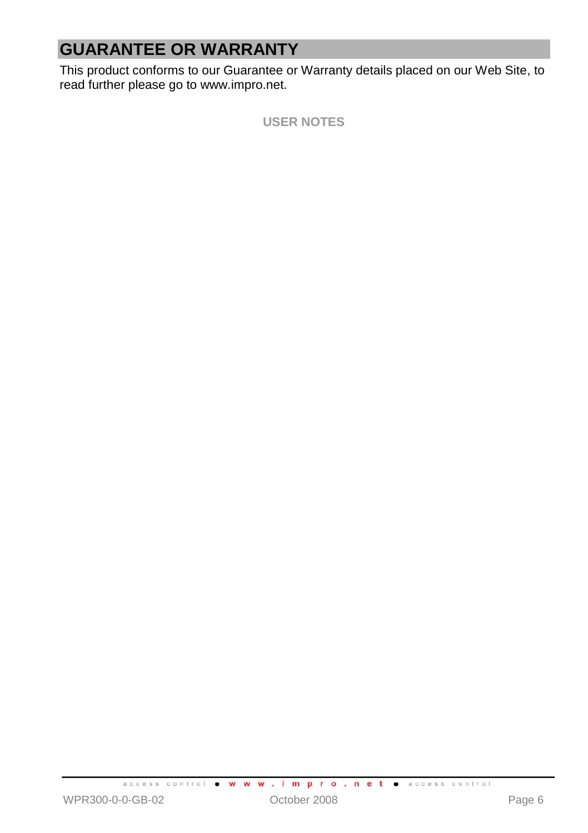# **GUARANTEE OR WARRANTY**

This product conforms to our Guarantee or Warranty details placed on our Web Site, to read further please go to www.impro.net.

**USER NOTES**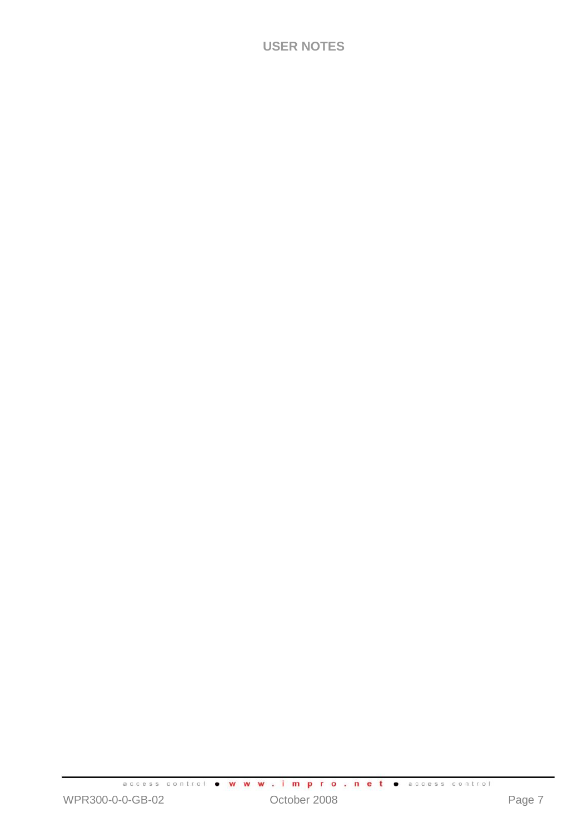#### **USER NOTES**